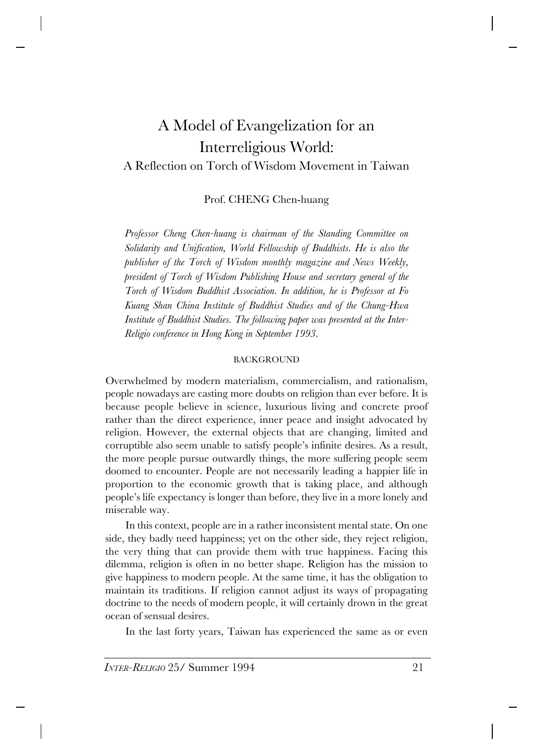# A Model of Evangelization for an Interreligious World: A Reflection on Torch of Wisdom Movement in Taiwan

## Prof. CHENG Chen-huang

*Professor Cheng Chen-huang is chairman of the Standing Committee on Solidarity and Unification, World Fellowship of Buddhists. He is also the publisher of the Torch of Wisdom monthly magazine and News Weekly, president of Torch of Wisdom Publishing House and secretary general of the Torch of Wisdom Buddhist Association. In addition, he is Professor at Fo Kuang Shan China Institute of Buddhist Studies and of the Chung-Hwa Institute of Buddhist Studies. The following paper was presented at the Inter-Religio conference in Hong Kong in September 1993.*

### **BACKGROUND**

Overwhelmed by modern materialism, commercialism, and rationalism, people nowadays are casting more doubts on religion than ever before. It is because people believe in science, luxurious living and concrete proof rather than the direct experience, inner peace and insight advocated by religion. However, the external objects that are changing, limited and corruptible also seem unable to satisfy people's infinite desires. As a result, the more people pursue outwardly things, the more suffering people seem doomed to encounter. People are not necessarily leading a happier life in proportion to the economic growth that is taking place, and although people's life expectancy is longer than before, they live in a more lonely and miserable way.

In this context, people are in a rather inconsistent mental state. On one side, they badly need happiness; yet on the other side, they reject religion, the very thing that can provide them with true happiness. Facing this dilemma, religion is often in no better shape. Religion has the mission to give happiness to modern people. At the same time, it has the obligation to maintain its traditions. If religion cannot adjust its ways of propagating doctrine to the needs of modern people, it will certainly drown in the great ocean of sensual desires.

In the last forty years, Taiwan has experienced the same as or even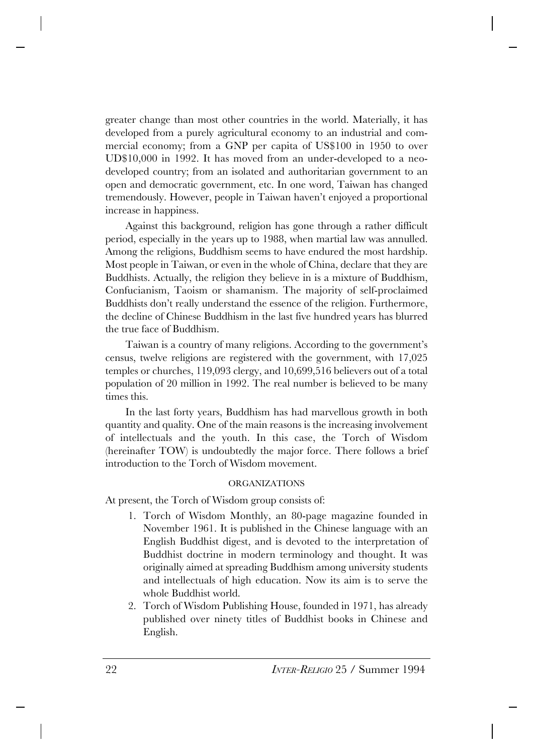greater change than most other countries in the world. Materially, it has developed from a purely agricultural economy to an industrial and commercial economy; from a GNP per capita of US\$100 in 1950 to over UD\$10,000 in 1992. It has moved from an under-developed to a neodeveloped country; from an isolated and authoritarian government to an open and democratic government, etc. In one word, Taiwan has changed tremendously. However, people in Taiwan haven't enjoyed a proportional increase in happiness.

Against this background, religion has gone through a rather difficult period, especially in the years up to 1988, when martial law was annulled. Among the religions, Buddhism seems to have endured the most hardship. Most people in Taiwan, or even in the whole of China, declare that they are Buddhists. Actually, the religion they believe in is a mixture of Buddhism, Confucianism, Taoism or shamanism. The majority of self-proclaimed Buddhists don't really understand the essence of the religion. Furthermore, the decline of Chinese Buddhism in the last five hundred years has blurred the true face of Buddhism.

Taiwan is a country of many religions. According to the government's census, twelve religions are registered with the government, with 17,025 temples or churches, 119,093 clergy, and 10,699,516 believers out of a total population of 20 million in 1992. The real number is believed to be many times this.

In the last forty years, Buddhism has had marvellous growth in both quantity and quality. One of the main reasons is the increasing involvement of intellectuals and the youth. In this case, the Torch of Wisdom (hereinafter TOW) is undoubtedly the major force. There follows a brief introduction to the Torch of Wisdom movement.

### ORGANIZATIONS

At present, the Torch of Wisdom group consists of:

- 1. Torch of Wisdom Monthly, an 80-page magazine founded in November 1961. It is published in the Chinese language with an English Buddhist digest, and is devoted to the interpretation of Buddhist doctrine in modern terminology and thought. It was originally aimed at spreading Buddhism among university students and intellectuals of high education. Now its aim is to serve the whole Buddhist world.
- 2. Torch of Wisdom Publishing House, founded in 1971, has already published over ninety titles of Buddhist books in Chinese and English.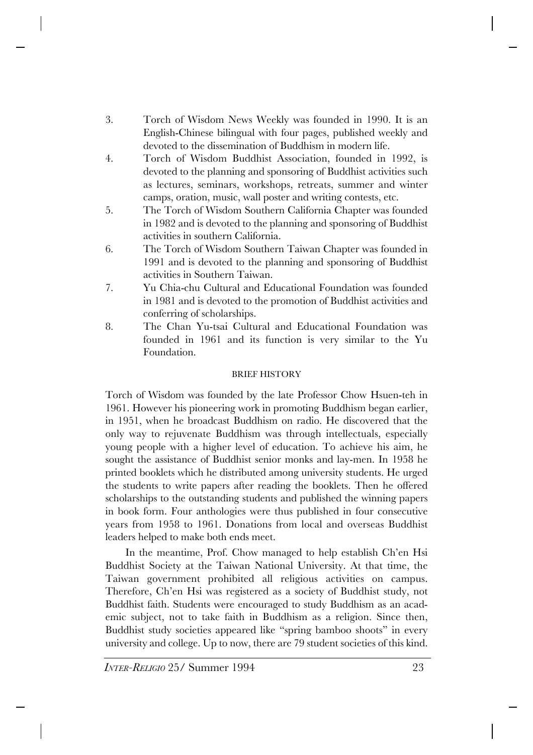- 3. Torch of Wisdom News Weekly was founded in 1990. It is an English-Chinese bilingual with four pages, published weekly and devoted to the dissemination of Buddhism in modern life.
- 4. Torch of Wisdom Buddhist Association, founded in 1992, is devoted to the planning and sponsoring of Buddhist activities such as lectures, seminars, workshops, retreats, summer and winter camps, oration, music, wall poster and writing contests, etc.
- 5. The Torch of Wisdom Southern California Chapter was founded in 1982 and is devoted to the planning and sponsoring of Buddhist activities in southern California.
- 6. The Torch of Wisdom Southern Taiwan Chapter was founded in 1991 and is devoted to the planning and sponsoring of Buddhist activities in Southern Taiwan.
- 7. Yu Chia-chu Cultural and Educational Foundation was founded in 1981 and is devoted to the promotion of Buddhist activities and conferring of scholarships.
- 8. The Chan Yu-tsai Cultural and Educational Foundation was founded in 1961 and its function is very similar to the Yu Foundation.

# BRIEF HISTORY

Torch of Wisdom was founded by the late Professor Chow Hsuen-teh in 1961. However his pioneering work in promoting Buddhism began earlier, in 1951, when he broadcast Buddhism on radio. He discovered that the only way to rejuvenate Buddhism was through intellectuals, especially young people with a higher level of education. To achieve his aim, he sought the assistance of Buddhist senior monks and lay-men. In 1958 he printed booklets which he distributed among university students. He urged the students to write papers after reading the booklets. Then he offered scholarships to the outstanding students and published the winning papers in book form. Four anthologies were thus published in four consecutive years from 1958 to 1961. Donations from local and overseas Buddhist leaders helped to make both ends meet.

In the meantime, Prof. Chow managed to help establish Ch'en Hsi Buddhist Society at the Taiwan National University. At that time, the Taiwan government prohibited all religious activities on campus. Therefore, Ch'en Hsi was registered as a society of Buddhist study, not Buddhist faith. Students were encouraged to study Buddhism as an academic subject, not to take faith in Buddhism as a religion. Since then, Buddhist study societies appeared like "spring bamboo shoots" in every university and college. Up to now, there are 79 student societies of this kind.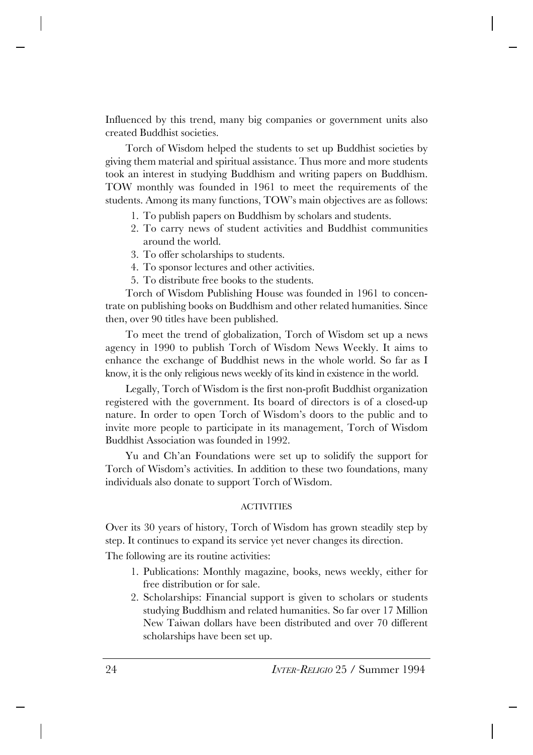Influenced by this trend, many big companies or government units also created Buddhist societies.

Torch of Wisdom helped the students to set up Buddhist societies by giving them material and spiritual assistance. Thus more and more students took an interest in studying Buddhism and writing papers on Buddhism. TOW monthly was founded in 1961 to meet the requirements of the students. Among its many functions, TOW's main objectives are as follows:

- 1. To publish papers on Buddhism by scholars and students.
- 2. To carry news of student activities and Buddhist communities around the world.
- 3. To offer scholarships to students.
- 4. To sponsor lectures and other activities.
- 5. To distribute free books to the students.

Torch of Wisdom Publishing House was founded in 1961 to concentrate on publishing books on Buddhism and other related humanities. Since then, over 90 titles have been published.

To meet the trend of globalization, Torch of Wisdom set up a news agency in 1990 to publish Torch of Wisdom News Weekly. It aims to enhance the exchange of Buddhist news in the whole world. So far as I know, it is the only religious news weekly of its kind in existence in the world.

Legally, Torch of Wisdom is the first non-profit Buddhist organization registered with the government. Its board of directors is of a closed-up nature. In order to open Torch of Wisdom's doors to the public and to invite more people to participate in its management, Torch of Wisdom Buddhist Association was founded in 1992.

Yu and Ch'an Foundations were set up to solidify the support for Torch of Wisdom's activities. In addition to these two foundations, many individuals also donate to support Torch of Wisdom.

### ACTIVITIES

Over its 30 years of history, Torch of Wisdom has grown steadily step by step. It continues to expand its service yet never changes its direction.

The following are its routine activities:

- 1. Publications: Monthly magazine, books, news weekly, either for free distribution or for sale.
- 2. Scholarships: Financial support is given to scholars or students studying Buddhism and related humanities. So far over 17 Million New Taiwan dollars have been distributed and over 70 different scholarships have been set up.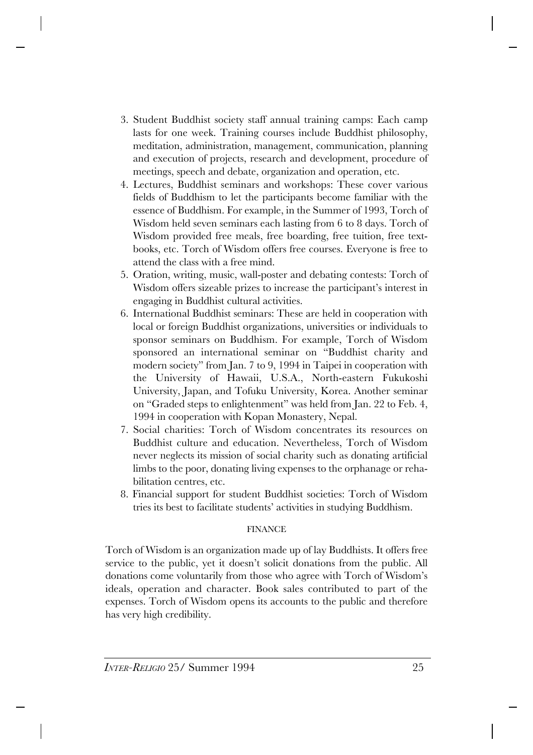- 3. Student Buddhist society staff annual training camps: Each camp lasts for one week. Training courses include Buddhist philosophy, meditation, administration, management, communication, planning and execution of projects, research and development, procedure of meetings, speech and debate, organization and operation, etc.
- 4. Lectures, Buddhist seminars and workshops: These cover various fields of Buddhism to let the participants become familiar with the essence of Buddhism. For example, in the Summer of 1993, Torch of Wisdom held seven seminars each lasting from 6 to 8 days. Torch of Wisdom provided free meals, free boarding, free tuition, free textbooks, etc. Torch of Wisdom offers free courses. Everyone is free to attend the class with a free mind.
- 5. Oration, writing, music, wall-poster and debating contests: Torch of Wisdom offers sizeable prizes to increase the participant's interest in engaging in Buddhist cultural activities.
- 6. International Buddhist seminars: These are held in cooperation with local or foreign Buddhist organizations, universities or individuals to sponsor seminars on Buddhism. For example, Torch of Wisdom sponsored an international seminar on "Buddhist charity and modern society" from Jan. 7 to 9, 1994 in Taipei in cooperation with the University of Hawaii, U.S.A., North-eastern Fukukoshi University, Japan, and Tofuku University, Korea. Another seminar on "Graded steps to enlightenment" was held from Jan. 22 to Feb. 4, 1994 in cooperation with Kopan Monastery, Nepal.
- 7. Social charities: Torch of Wisdom concentrates its resources on Buddhist culture and education. Nevertheless, Torch of Wisdom never neglects its mission of social charity such as donating artificial limbs to the poor, donating living expenses to the orphanage or rehabilitation centres, etc.
- 8. Financial support for student Buddhist societies: Torch of Wisdom tries its best to facilitate students' activities in studying Buddhism.

## FINANCE

Torch of Wisdom is an organization made up of lay Buddhists. It offers free service to the public, yet it doesn't solicit donations from the public. All donations come voluntarily from those who agree with Torch of Wisdom's ideals, operation and character. Book sales contributed to part of the expenses. Torch of Wisdom opens its accounts to the public and therefore has very high credibility.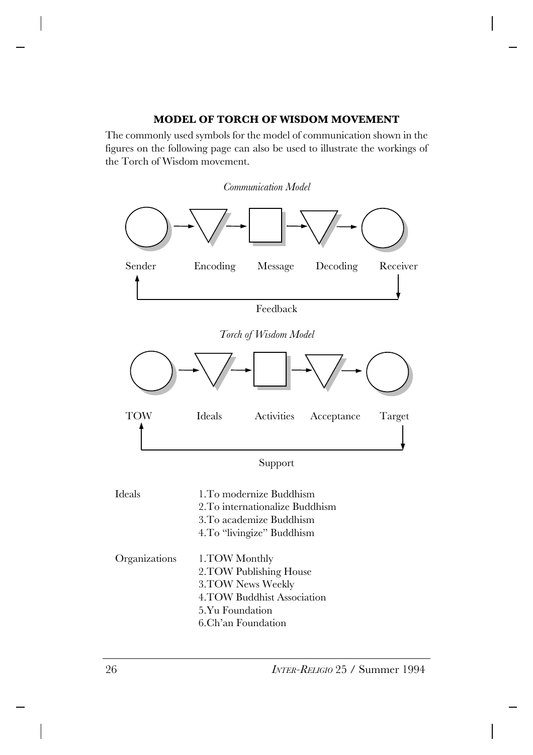# **MODEL OF TORCH OF WISDOM MOVEMENT**

The commonly used symbols for the model of communication shown in the figures on the following page can also be used to illustrate the workings of the Torch of Wisdom movement.